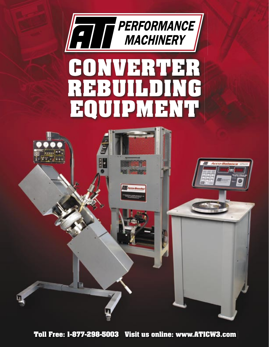





**Toll Free: 1-877-298-5003 Visit us online: www.ATICW3.com**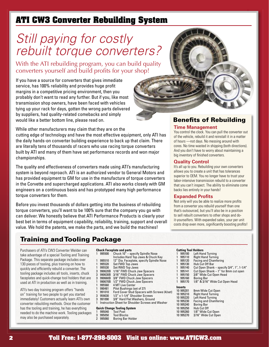# **ATI CW3 Converter Rebuilding System**

# Still paying for costly rebuilt torque converters?

With the ATI rebuilding program, you can build quality converters yourself and build profits for your shop!

If you have a source for converters that gives immediate service, has 100% reliability and provides huge profit margins in a competitive pricing environment, then you probably don't want to read any further. But if you, like most transmission shop owners, have been faced with vehicles tying up your rack for days, gotten the wrong parts delivered by suppliers, had quality-related comebacks and simply would like a better bottom line, please read on.

While other manufacturers may claim that they are on the cutting edge of technology and have the most effective equipment, only ATI has the daily hands-on converter building experience to back up that claim. There are literally tens of thousands of racers who use racing torque converters built by ATI and many of them have set performance records and won major championships.

The quality and effectiveness of converters made using ATI's manufacturing system is beyond reproach. ATI is an authorized vendor to General Motors and has provided equipment to GM for use in the manufacture of torque converters in the Corvette and supercharged applications. ATI also works closely with GM engineers on a continuous basis and has prototyped many high performance torque converters for them.

Before you invest thousands of dollars getting into the business of rebuilding torque converters, you'll want to be 100% sure that the company you go with can deliver. We honestly believe that ATI Performance Products is clearly your best bet in terms of equipment capability, reliability, training, support and overall value. We hold the patents, we make the parts, and we build the machines!

# Training and Tooling Package

Purchasers of ATI's CW3 Converter Welder can take advantage of a special Tooling and Training Package. This separate package includes over 130 pieces of tooling, plus training on how to quickly and efficiently rebuild a converter. The tooling package includes all tools, inserts, chuck faceplates and quick-change tool holders that are used at ATI in production as well as in training.

ATI's two day training program offers "hands on" training for two people to get you started immediately! Customers actually learn ATI's own converter rebuilding methods. Once the customer has the tooling and training, he has everything needed to do the machine work. Tooling packages may also be purchased separately.

- **Chuck Faceplate and parts** 1 995500 Chuck 10" specify Spindle Nose
- Includes Hard Top Jaws & Chuck Key<br>1995510 12" Dia, Faceplate, specify Spindle No
- 995510 12" Dia. Faceplate, specify Spindle Nose<br>995520 Set FWD Top Jaws
- 995520 Set FWD Top Jaws<br>995530 Set RWD Top Jaws 1 995530 Set RWD Top Jaws
- 
- 3 990620B 1/16" FWD Chuck Jaw Spacers 3 990630B 3/16" FWD Chuck Jaw Spacers
- 3 990660B 3/8" FWD Chuck Jaw Spacers
- 990670B 1/2" FWD Chuck Jaw Spacers<br>995560 4 MT Live Center
- 995560 4 MT Live Center<br>990481 Pilot Bushings (se
- 1 990481 Pilot Bushings (set of 27)
- 1 991010 Ford Cover Stud Spacers with Screws (4/set)
- 3 959030 1/2" x 1-1/4" Shoulder Screws
- 3/8" Hard Flat Washers, Ground 1 Instruction Sheet for Shoulder Screws and Washer

### **Quick Change Tooling System**

- 1 995040 Tool Post
- 
- 3 995050 Tool Blocks Boring Bar Holder

## **Benefits of Rebuilding**

### **Time Management**

You control the clock. You can pull the converter out of the vehicle, rebuild it and reinstall it in a matter of hours —not days. No messing around with cores. No time wasted in shipping (both directions). And you don't have to worry about maintaining a big inventory of finished converters.

#### **Quality Control**

It's all up to you. Rebuilding your own converters allows you to create a unit that has tolerances superior to OEM. You no longer have to trust your labor-intensive transmission rebuild to a converter that you can't inspect. The ability to eliminate come backs lies entirely in your hands!

#### **Expanded Profits**

Not only will you be able to realize more profits from a converter you rebuild yourself than one that's outsourced, but you'll also be in a position to sell rebuilt converters to other shops and doit-yourselfers. With expanded sales, your per unit costs drop even more, significantly boosting profits!

#### **Cutting Tool Holders**

|           | <u>VUUTIN TVVI HVIUVIJ</u> |                                           |
|-----------|----------------------------|-------------------------------------------|
| 1         | 995100                     | Left Hand Turning                         |
| 1         | 995110                     | <b>Right Hand Turning</b>                 |
| 1         | 995120                     | <b>Facing and Chamfering</b>              |
| 1         | 995130                     | Hub Cut Off Bar                           |
| 1         | 995140                     | Cut Open Shank - specify 3/4", 1", 1-1/4" |
| 1         | 995141                     | Cut Open Shank - 1" for 8mm cut open      |
| 1         | 995150                     | 3/8" Wide Cut Open Head                   |
| 1         | 995160                     | <b>Boring Bar</b>                         |
| 1         | 995170                     | 1/8" & 3/16" Wide Cut Open Head           |
|           | Inserts                    |                                           |
| 10 995201 |                            | <b>8mm Wide Cut Onen</b>                  |

10 995201 8mm Wide Cut Open 10 995210 Right Hand Turning<br>10 995220 Left Hand Turning 10 995220 Left Hand Turning<br>10 995230 Facing and Chamf Facing and Chamfering 10 995240 Boring Bar<br>10 995250 Hub Cut Off Hub Cut Off 10 995260 1/8" Wide Cut Open 10 995270 3/16" Wide Cut Open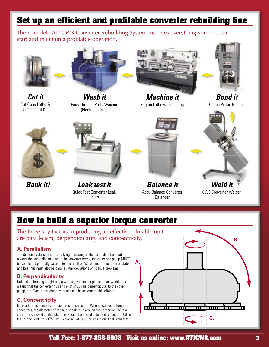# **Set up an efficient and profitable converter rebuilding line**

The complete ATI CW3 Converter Rebuilding System includes everything you need to start and maintain a profitable operation.



**Cut it** Cut Open Lathe & Component Kit



**Wash it** Pass-Through Parts Washer (Electric or Gas)



**Machine it** Engine Lathe with Tooling



**Bond it** Clutch Piston Bonder





**Bank it! Leak test it** Quick Test Converter Leak **Tester** 



**Balance it** Accu-Balance Converter Balancer



CW3 Converter Welder

# **How to build a superior torque converter**

The three key factors in producing an effective, durable unit are parallelism, perpendicularity and concentricity.

### **A. Parallelism**

The dictionary describes this as lying or moving in the same direction, but always the same distance apart. In converter terms, the cover and pump MUST be connected perfectly parallel to one another. What's more, the turbine, stator and bearings must also be parallel. Any deviations will cause problems.

### **B. Perpendicularity**

Defined as forming a right angle with a given line or plane. In our world, this means that the converter hub and pilot MUST be perpendicular to the cover, pump, etc. Even the slightest variance can have catastrophic effects.

### **C. Concentricity**

In broad terms, it means to have a common center. When it comes to torque converters, the diameter of the hub should turn around the centerline. With a converter chucked on its hub, there should be a total indicated runout of .006" or less at the pilot. Your CW3 will leave ATI at .003" or less in our final weld test.



2 **Toll Free: 1-877-298-5003 Visit us online: www.ATICW3.com Toll Free: 1-877-298-5003 Visit us online: www.ATICW3.com** 3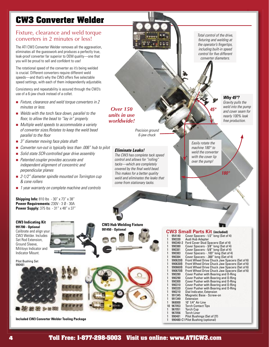# **CW3 Converter Welder**

### Fixture, clearance and weld torque converters in 2 minutes or less!

The ATI CW3 Converter Welder removes all the aggravation, eliminates all the guesswork and produces a perfectly true, leak-proof converter far superior to OEM quality—one that you will be proud to sell and confident to use!

The rotational speed of the converter as it's being welded is crucial. Different converters require different weld speeds—and that's why the CW3 offers five selectable speed settings, with each of them independently adjustable.

Consistency and repeatability is assured through the CW3's use of a 6-jaw chuck instead of a collet.

- Fixture, clearance and weld torque converters in  $2$ minutes or less.
- $\blacksquare$  Welds with the torch face down, parallel to the floor, to allow the bead to "lay in" properly.
- $\blacksquare$  Multiple weld speeds to accommodate a variety of converter sizes.Rotates to keep the weld bead parallel to the floor
- $\Box$  3" diameter moving face plate shaft
- Converter run-out is typically less than .006" hub to pilot
- Solid state SCR-controlled gear drive assembly
- Patented coupler provides accurate and independent alignment of concentric and perpendicular planes
- $\blacksquare$  2-1/2" diameter spindle mounted on Torrington cup & cone rollers
- 1 year warranty on complete machine and controls

**Shipping Info:** 810 lbs - 30" x 73" x 38" **Power Requirements:** 230V - 3 Ø - 30A **Power Supply:** 375 lbs - 31" x 48" x 37"





**Included CW3 Converter Welder Tooling Package**

Total control of the drive, fixturing and welding at the operator's fingertips, including built-in speed control for five different converter diameters.

*Over 150 units in use worldwide!*

> Precision ground 6-jaw chuck

### **Eliminate Leaks!**

**CW3 Hub Welding Fixture**

The CW3 has complete tack speed control and allows for "rolling" tacks—which are completely covered by the final weld bead. This makes for a better quality weld and eliminates the leaks that come from stationary tacks.

### **Why 45º?**

Gravity pulls the weld into the pump and cover seam for nearly 100% leak free production.

Easily rotate the machine 180° to weld the converter with the cover lip over the pump!

**180°**

**45°**

**991450 - Optional CW3 Small Parts Kit (included)**<br>1 954140 Cover Spacers - 1/2" long (Set of 954140 Cover Spacers - 1/2" long (Set of 4)<br>990330 Audi Hub Adapter 990330 Audi Hub Adapter<br>990340-2 Ford Cover Stud Sp 990340-2 Ford Cover Stud Spacers (Set of 4)<br>990380 Cover Spacers - 3/8" long (Set of 4) 990380 Cover Spacers - 3/8" long (Set of 4)<br>990381 Cover Spacers - 5/8" long (Set of 4) 1 990381 Cover Spacers - 5/8" long (Set of 4) 990383 Cover Spacers - .103" long (Set of 4)<br>990384 Cover Spacers - .300" long (Set of 4) 990384 Cover Spacers - .300" long (Set of 4)<br>990620B Front Wheel Drive Chuck Jaw Space 1 990620B Front Wheel Drive Chuck Jaw Spacers (Set of 6) 1 990630B Front Wheel Drive Chuck Jaw Spacers (Set of 6) 990660B Front Wheel Drive Chuck Jaw Spacers (Set of 6)<br>990670B Front Wheel Drive Chuck Jaw Spacers (Set of 6) 990670B Front Wheel Drive Chuck Jaw Spacers (Set of 6)<br>990280 Cover Pusher with Bearing and O-Bing 1 990280 Cover Pusher with Bearing and O-Ring<br>1990290 Cover Pusher with Bearing and O-Ring 990290 Cover Pusher with Bearing and O-Ring<br>990300 Cover Pusher with Bearing and O-Ring **100800 Cover Pusher with Bearing and O-Ring<br>190310 Cover Pusher with Bearing and O-Ring** 1 990310 Cover Pusher with Bearing and O-Ring<br>1990320 Cover Pusher with Bearing and O-Ring 990320 Cover Pusher with Bearing and O-Ring<br>990210 Dial Indicator Extension 990210 Dial Indicator, Extension<br>991345 Magnetic Base - Screw-1 1 1 991345<br>
1 991345 Magnetic Base - Screw-on<br>
1991349 Fxtension 991349 Extension<br>968000 10' 1/4" Ai 1 968000 10' 1/4" Air Line 10 967053 Torch Contact Tips 967051 Torch Cup<br>967056 Torch Line 967056 Torch Liner<br>990481 Pilot Bushir Pilot Bushings (Set of 27) 990480-C1 Pilot Bushing (optional)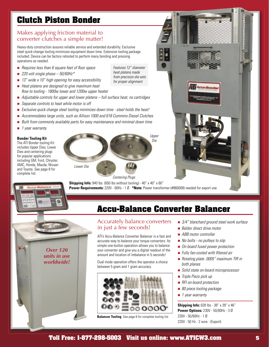# **Clutch Piston Bonder**

### Makes applying friction material to converter clutches a simple matter!

Heavy-duty construction assures reliable service and extended durability. Exclusive steel quick-change tooling minimizes equipment down time. Extensive tooling package included. Device can be factory retooled to perform many bonding and pressing operations as needed.

- $\blacksquare$  Requires less than 6 square feet of floor space
- $\blacksquare$  220 volt single phase 50/60Hz\*
- $\blacksquare$  13" wide x 10" high opening for easy accessibility
- $\blacksquare$  Heat platens are designed to give maximum heat flow to tooling - 1800w lower and 1200w upper heater
- $\blacksquare$  Adjustable controls for upper and lower platens full surface heat, no cartridges
- Separate controls to heat while motor is off
- Exclusive quick change steel tooling minimizes down time steel holds the heat!
- **n** Accommodates large units, such as Allison 1000 and 618 Cummins Diesel Clutches
- Built from commonly available parts for easy maintenance and minimal down time
- 1 year warranty

### **Bonder Tooling Kit**

The ATI Bonder tooling Kit includes Upper Dies, Lower Dies and centering plugs for popular applications including GM, Ford, Chrysler, AMC, Honda, Mazda, Nissan and Toyota. See page 8 for complete list.

Lower Die Upper Die Centering Plugs

Features 12" diameter heat platens made from precision die sets for proper alignment

**Shipping Info:** 940 lbs (650 lbs without tooling) - 40" x 40" x 60" **Power Requirements:** 220V - 60Hz - 1 Ø \*Note: Power transformer (#860008) needed for export use.



# **Accu-Balance Converter Balancer**

### Accurately balance converters in just a few seconds!

ATI's Accu-Balance Converter Balancer is a fast and accurate way to balance your torque converters. Its simple one-button operation allows you to balance your converter and give you a digital readout of the amount and location of imbalance in 5 seconds!

Dual mode operation offers the operator a choice between 5 gram and 1 gram accuracy.



**Balancer Tooling** See page 8 for complete tooling list

- 
- $\blacksquare$  3/4" blanchard ground steel work surface
- $\blacksquare$  Baldor direct drive motor
- $\blacksquare$  ABB motor controller
- $\blacksquare$  No bolts no pulleys to slip
- On-board fused power protection
- $\blacksquare$  Fully fan-cooled with filtered air
- Rotating plate .0005" maximum TIR in both planes
- Solid state on-board microprocessor
- Triple Piezo pick up
- RFI on-board protection
- 80 piece tooling package
- $\blacksquare$  1 year warranty

**Shipping Info:** 628 lbs - 38" x 39" x 46" **Power Options:** 230V - 50/60Hz - 3 Ø 230V - 50/60Hz - 1 Ø 220V - 50 Hz - 2 wire - (Export)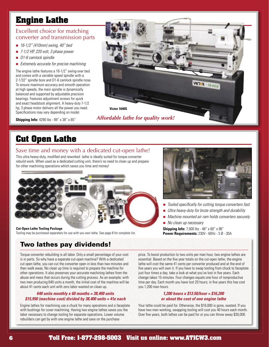# **Engine Lathe**

### Excellent choice for matching converter and transmission parts

- $\blacksquare$  16-1/2" (410mm) swing, 40" bed
- $\blacksquare$  7-1/2 HP, 220 volt, 3 phase power
- $\Box$  D1-6 camlock spindle
- $\blacksquare$  Extremely accurate for precise machining

The engine lathe features a 16-1/2" swing-over bed and comes with a variable speed spindle with a 2-1/32" spindle bore and D1-6 camlock spindle nose. To ensure maximum accuracy and smooth operation at high speeds, the main spindle is dynamically balanced and supported by adjustable precision bearings. Features adjustment screws for quick and exact headstock alignment. A heavy-duty 7-1/2 hp, 3 phase motor delivers all the power you need. Specifications may vary depending on model.

**Shipping Info:** 4290 lbs - 89" x 38" x 65"



### *Affordable lathe for quality work!*

# **Cut Open Lathe**

### Save time and money with a dedicated cut-open lathe!

This ultra heavy-duty, modified and reworked lathe is ideally suited for torque converter rebuild work. When used as a dedicated cutting unit, there's no need to clean up and prepare for other machining operations which saves you time and money!



**Cut-Open Lathe Tooling Package** Tooling may be purchased separately for use with you own lathe. See page 8 for complete list.

# Two lathes pay dividends!

Torque converter rebuilding is all labor. Only a small percentage of your cost is in parts. So why have a separate cut-open machine? With a dedicated cut open lathe, you can cut the converter open in less than two minutes and then walk away. No clean up time is required to prepare the machine for other operations. It also preserves your accurate machining lathes from the abuse and mess that occurs during the cutting process. As an example; with two men producing 640 units a month, the initial cost of the machine will be about 41 cents each unit with zero labor wasted on clean up.

### **640 units monthly x 60 months = 38,400 units \$15,950 (machine cost) divided by 38,400 units = 41¢ each**

Engine lathes for machining use a chuck for many operations and a faceplate with bushings for cover machining. Having two engine lathes saves you the labor necessary to change tooling for separate operations. Lower volume rebuilders can get by with one engine lathe and save on the purchase



- Tooled specifically for cutting torque converters fast
- $\blacksquare$  Ultra heavy-duty for brute strength and durability
- Machine mounted air ram holds converters securely

■ No clean up necessary **Shipping Info:** 7,000 lbs - 48" x 60" x 96" **Power Requirements:** 230V - 60Hz - 3 Ø - 30A

price. To boost production to two units per man hour, two engine lathes are essential. Based on the five year totals on the cut-open lathe, the engine lathe will cost the same 41 cents per converter produced and at the end of five years you will own it. If you have to swap tooling from chuck to faceplate just four times a day, take a look at what you've lost in five years. Each change takes 15 minutes. Four changes equals one hour of nonproductive time per day. Each month you have lost 20 hours; in five years this has cost you 1,200 man hours.

#### **1,200 hours x \$13.50/hour = \$16,200 or about the cost of one engine lathe**

Your lathe could be paid for. Otherwise, the \$16,000 is gone, wasted. If you have two men working, swapping tooling will cost you 40 hours each month. Over five years, both lathes can be paid for or you can throw away \$30,000.

### 6 **Toll Free: 1-877-298-5003 Visit us online: www.ATICW3.com Toll Free: 1-877-298-5003 Visit us online: www.ATICW3.com** 7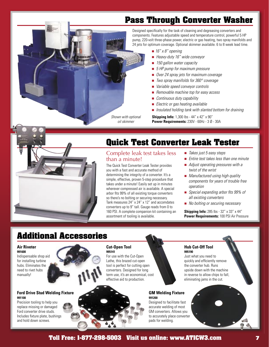# **Pass Through Converter Washer**

Designed specifically for the task of cleaning and degreasing converters and components. Features adjustable speed and temperature control, powerful 5 HP pump, 220-volt three-phase power, electric or gas heating, two spray manifolds and 24 jets for optimum coverage. Optional skimmer available. 6 to 8 week lead time.

- $\blacksquare$  16" x 8" opening
- $\blacksquare$  Heavy-duty 16" wide conveyor
- 150 gallon water capacity
- $\blacksquare$  5 HP pump for maximum pressure
- Over 24 spray jets for maximum coverage
- $\blacksquare$  Two spray manifolds for 360 $^{\circ}$  coverage
- Variable speed conveyor controls
- Removable machine top for easy access
- $\Box$  Continuous duty capability
- $\blacksquare$  Electric or gas heating available
- $\blacksquare$  Insulated holding tank with slanted bottom for draining

**Shipping Info:** 1,300 lbs - 44" x 42" x 90" **Power Requirements:** 230V - 60Hz - 3 Ø - 30A



# **Quick Test Converter Leak Tester**

### Complete leak test takes less than a minute!

Shown with optional oil skimmer

The Quick Test Converter Leak Tester provides you with a fast and accurate method of determining the integrity of a converter. It's a simple, effective, proven 5-step procedure that takes under a minute! Easily set up in minutes wherever compressed air is available. A special arbor fits 99% of all existing torque converters so there's no bolting or securing necessary. Tank measures 24" x 24" x 12" and accomdates converters up to 9" tall. Gauge reads from 0 to 160 PSI. A complete companion kit containing an assortment of tooling is available.

- $\blacksquare$  Takes just 5 easy steps
- $\blacksquare$  Entire test takes less than one minute
- $\blacksquare$  Adjust operating pressures with a twist of the wrist
- $\blacksquare$  Manufactured using high quality components for years of trouble free operation
- $\blacksquare$  Special expanding arbor fits 99% of all existing converters
- No bolting or securing necessary

**Shipping Info:** 285 lbs - 32" x 33" x 44" **Power Requirements:** 100 PSI Air Pressure

# **Additional Accessories**

#### **Air Riveter 991600**

**991100**

Indispensable shop aid for installing turbine hubs. Eliminates the need to rivet hubs manually!

# **Ford Drive Stud Welding Fixture**

Precision tooling to help you replace missing or damaged Ford converter drive studs. Includes fixture plate, bushings and hold down screws.

#### **Cut-Open Tool 995141**

For use with the Cut-Open Lathe, this brazed cut-open tool is perfect for cutting open converters. Designed for long term use, it's an economical, cost effective aid to production.



## Just what you need to

**995190**

**Hub Cut-Off Tool**

quickly and efficiently remove the converter hub. Runs upside down with the machine in reverse to allow chips to fall, eliminating jams in the cut.

#### **GM Welding Fixture 991200**

Designed to facilitate fast accurate welding of most GM converters. Allows you to accurately place converter pads for welding.